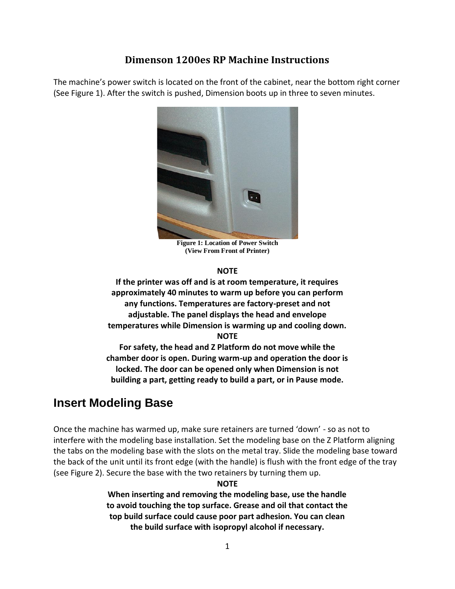# **Dimenson 1200es RP Machine Instructions**

The machine's power switch is located on the front of the cabinet, near the bottom right corner (See Figure 1). After the switch is pushed, Dimension boots up in three to seven minutes.



**Figure 1: Location of Power Switch (View From Front of Printer)**

#### **NOTE**

**If the printer was off and is at room temperature, it requires approximately 40 minutes to warm up before you can perform any functions. Temperatures are factory-preset and not adjustable. The panel displays the head and envelope temperatures while Dimension is warming up and cooling down. NOTE**

**For safety, the head and Z Platform do not move while the chamber door is open. During warm-up and operation the door is locked. The door can be opened only when Dimension is not building a part, getting ready to build a part, or in Pause mode.**

# **Insert Modeling Base**

Once the machine has warmed up, make sure retainers are turned 'down' - so as not to interfere with the modeling base installation. Set the modeling base on the Z Platform aligning the tabs on the modeling base with the slots on the metal tray. Slide the modeling base toward the back of the unit until its front edge (with the handle) is flush with the front edge of the tray (see Figure 2). Secure the base with the two retainers by turning them up.

#### **NOTE**

**When inserting and removing the modeling base, use the handle to avoid touching the top surface. Grease and oil that contact the top build surface could cause poor part adhesion. You can clean the build surface with isopropyl alcohol if necessary.**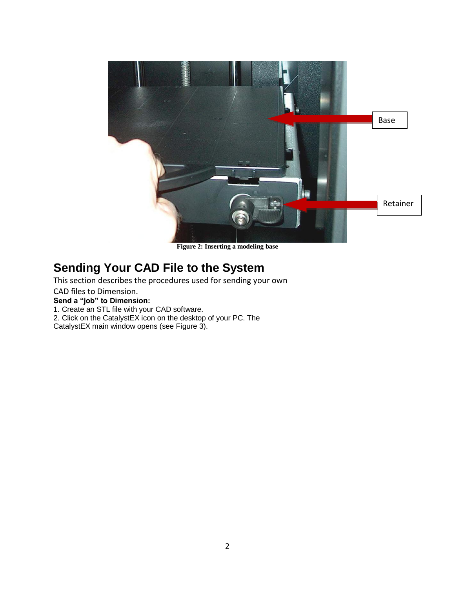

**Figure 2: Inserting a modeling base**

# **Sending Your CAD File to the System**

This section describes the procedures used for sending your own

CAD files to Dimension.

**Send a "job" to Dimension:**

1. Create an STL file with your CAD software.

2. Click on the CatalystEX icon on the desktop of your PC. The

CatalystEX main window opens (see Figure 3).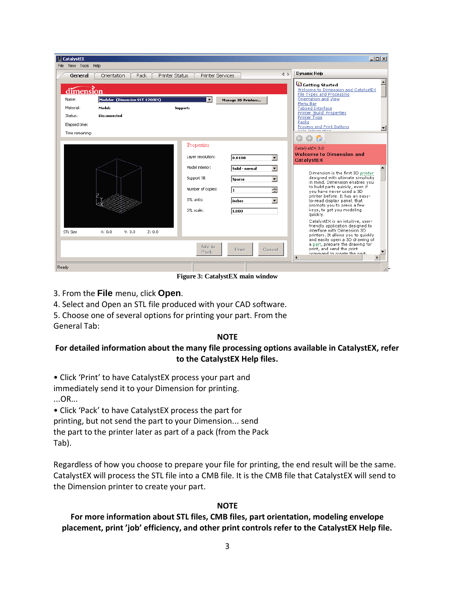| $  $ $\Box$ $ $ $\times$ $ $<br><b>E</b> CatalystEX<br>File View Tools Help |                                                                 |                                                                                                                                |                                                                                                                                                                                                  |                                                                                                                                                                                                                                                                                                                                                                                                                                                                                                                                                                                                                                      |
|-----------------------------------------------------------------------------|-----------------------------------------------------------------|--------------------------------------------------------------------------------------------------------------------------------|--------------------------------------------------------------------------------------------------------------------------------------------------------------------------------------------------|--------------------------------------------------------------------------------------------------------------------------------------------------------------------------------------------------------------------------------------------------------------------------------------------------------------------------------------------------------------------------------------------------------------------------------------------------------------------------------------------------------------------------------------------------------------------------------------------------------------------------------------|
| General                                                                     | Orientation<br>Pack                                             | Printer Status<br><b>Printer Services</b>                                                                                      | $\triangle$                                                                                                                                                                                      | Dynamic Help                                                                                                                                                                                                                                                                                                                                                                                                                                                                                                                                                                                                                         |
| Name:<br>Material:<br>Status:<br>Elapsed time:<br>Time remaining:           | Modeler (Dimension SST 1200ES)<br>Model:<br><b>Disconnected</b> | $\vert \cdot \vert$<br>Support:                                                                                                | Manage 3D Printers                                                                                                                                                                               | Getting Started<br>Welcome to Dimension and CatalystEX<br><b>File Types and Processing</b><br>Orientation and View<br>Menu Bar<br><b>Tabbed Interface</b><br>Printer 'Build' Properties<br>Printer Type<br>Packs<br><b>Process and Print Buttons</b><br>$\circ$ $\circ$<br>œ.                                                                                                                                                                                                                                                                                                                                                        |
| STL Size                                                                    | X: 0.0<br>Y: 0.0<br>Z: 0.0                                      | Properties<br>Layer resolution:<br>Model interior:<br>Support fill:<br>Number of copies:<br>STL units:<br>STL scale:<br>Add to | $\blacktriangledown$<br>0.0100<br>$\overline{\phantom{a}}$<br>Solid - normal<br>$\overline{\phantom{0}}$<br>Sparse<br>곡<br>l1.<br>$\overline{\phantom{a}}$<br>inches<br>1.000<br>Print<br>Cancel | CatalystEX 3.0<br><b>Welcome to Dimension and</b><br>CatalystEX<br>Dimension is the first 3D printer<br>designed with ultimate simplicity<br>in mind. Dimension enables you<br>to build parts quickly, even if<br>vou have never used a 3D<br>printer before. It has an easy-<br>to-read display panel, that<br>prompts you to press a few<br>keys, to get you modeling<br>quickly.<br>CatalystEX is an intuitive, user-<br>friendly application designed to<br>interface with Dimension 3D<br>printers. It allows you to quickly<br>and easily open a 3D drawing of<br>a part, prepare the drawing for<br>print, and send the print |
| Ready                                                                       |                                                                 | Pack                                                                                                                           |                                                                                                                                                                                                  | command to create the nart.<br>$\blacksquare$<br>٠                                                                                                                                                                                                                                                                                                                                                                                                                                                                                                                                                                                   |

**Figure 3: CatalystEX main window**

- 3. From the **File** menu, click **Open**.
- 4. Select and Open an STL file produced with your CAD software.
- 5. Choose one of several options for printing your part. From the
- General Tab:

#### **NOTE**

### **For detailed information about the many file processing options available in CatalystEX, refer to the CatalystEX Help files.**

• Click 'Print' to have CatalystEX process your part and

immediately send it to your Dimension for printing.

...OR...

• Click 'Pack' to have CatalystEX process the part for

printing, but not send the part to your Dimension... send

the part to the printer later as part of a pack (from the Pack Tab).

Regardless of how you choose to prepare your file for printing, the end result will be the same. CatalystEX will process the STL file into a CMB file. It is the CMB file that CatalystEX will send to the Dimension printer to create your part.

### **NOTE**

### **For more information about STL files, CMB files, part orientation, modeling envelope placement, print 'job' efficiency, and other print controls refer to the CatalystEX Help file.**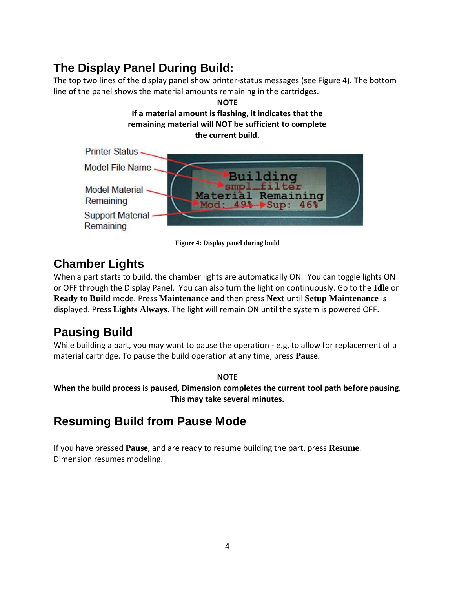# **The Display Panel During Build:**

The top two lines of the display panel show printer-status messages (see Figure 4). The bottom line of the panel shows the material amounts remaining in the cartridges.



**Figure 4: Display panel during build**

# **Chamber Lights**

When a part starts to build, the chamber lights are automatically ON. You can toggle lights ON or OFF through the Display Panel. You can also turn the light on continuously. Go to the **Idle** or **Ready to Build** mode. Press **Maintenance** and then press **Next** until **Setup Maintenance** is displayed. Press **Lights Always**. The light will remain ON until the system is powered OFF.

# **Pausing Build**

While building a part, you may want to pause the operation - e.g, to allow for replacement of a material cartridge. To pause the build operation at any time, press **Pause**.

### **NOTE**

**When the build process is paused, Dimension completes the current tool path before pausing. This may take several minutes.**

# **Resuming Build from Pause Mode**

If you have pressed **Pause**, and are ready to resume building the part, press **Resume**. Dimension resumes modeling.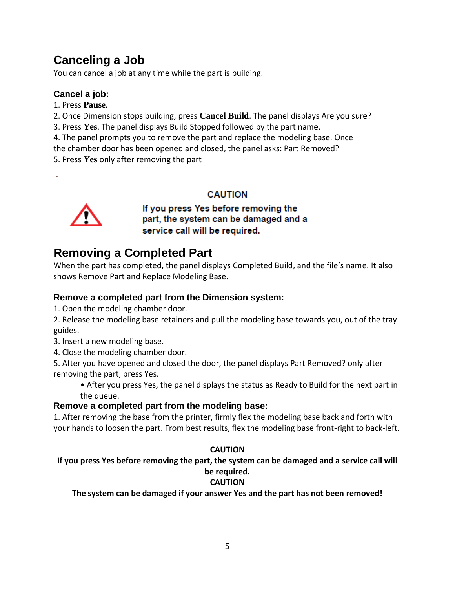# **Canceling a Job**

You can cancel a job at any time while the part is building.

# **Cancel a job:**

- 1. Press **Pause**.
- 2. Once Dimension stops building, press **Cancel Build**. The panel displays Are you sure?
- 3. Press **Yes**. The panel displays Build Stopped followed by the part name.
- 4. The panel prompts you to remove the part and replace the modeling base. Once
- the chamber door has been opened and closed, the panel asks: Part Removed?
- 5. Press **Yes** only after removing the part

### **CAUTION**



If you press Yes before removing the part, the system can be damaged and a service call will be required.

# **Removing a Completed Part**

When the part has completed, the panel displays Completed Build, and the file's name. It also shows Remove Part and Replace Modeling Base.

# **Remove a completed part from the Dimension system:**

- 1. Open the modeling chamber door.
- 2. Release the modeling base retainers and pull the modeling base towards you, out of the tray guides.
- 3. Insert a new modeling base.
- 4. Close the modeling chamber door.

5. After you have opened and closed the door, the panel displays Part Removed? only after removing the part, press Yes.

• After you press Yes, the panel displays the status as Ready to Build for the next part in the queue.

# **Remove a completed part from the modeling base:**

1. After removing the base from the printer, firmly flex the modeling base back and forth with your hands to loosen the part. From best results, flex the modeling base front-right to back-left.

# **CAUTION**

### **If you press Yes before removing the part, the system can be damaged and a service call will be required.**

# **CAUTION**

**The system can be damaged if your answer Yes and the part has not been removed!**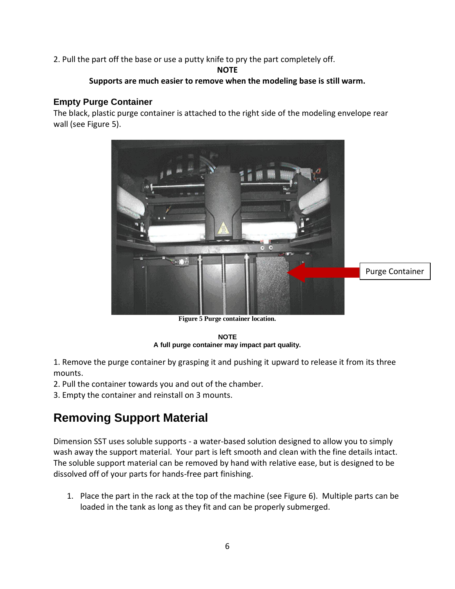2. Pull the part off the base or use a putty knife to pry the part completely off.

#### **NOTE**

#### **Supports are much easier to remove when the modeling base is still warm.**

### **Empty Purge Container**

The black, plastic purge container is attached to the right side of the modeling envelope rear wall (see Figure 5).



**Figure 5 Purge container location.**

#### **NOTE A full purge container may impact part quality.**

1. Remove the purge container by grasping it and pushing it upward to release it from its three mounts.

2. Pull the container towards you and out of the chamber.

3. Empty the container and reinstall on 3 mounts.

# **Removing Support Material**

Dimension SST uses soluble supports - a water-based solution designed to allow you to simply wash away the support material. Your part is left smooth and clean with the fine details intact. The soluble support material can be removed by hand with relative ease, but is designed to be dissolved off of your parts for hands-free part finishing.

1. Place the part in the rack at the top of the machine (see Figure 6). Multiple parts can be loaded in the tank as long as they fit and can be properly submerged.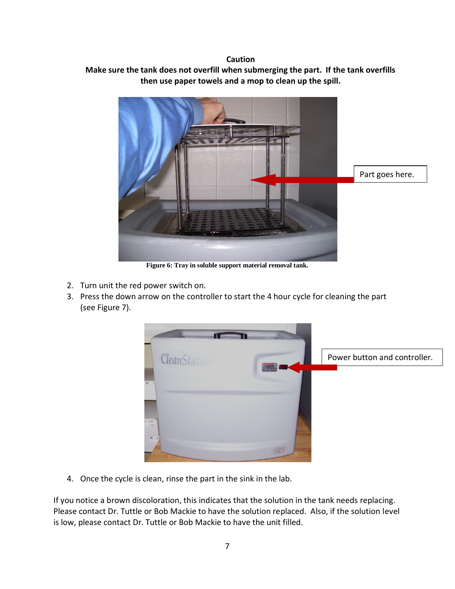#### **Caution**

### **Make sure the tank does not overfill when submerging the part. If the tank overfills then use paper towels and a mop to clean up the spill.**



**Figure 6: Tray in soluble support material removal tank.**

- 2. Turn unit the red power switch on.
- 3. Press the down arrow on the controller to start the 4 hour cycle for cleaning the part (see Figure 7).



4. Once the cycle is clean, rinse the part in the sink in the lab.

If you notice a brown discoloration, this indicates that the solution in the tank needs replacing. Please contact Dr. Tuttle or Bob Mackie to have the solution replaced. Also, if the solution level is low, please contact Dr. Tuttle or Bob Mackie to have the unit filled.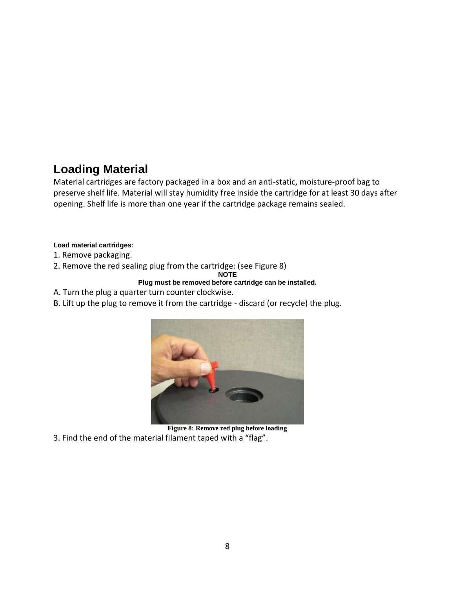# **Loading Material**

Material cartridges are factory packaged in a box and an anti-static, moisture-proof bag to preserve shelf life. Material will stay humidity free inside the cartridge for at least 30 days after opening. Shelf life is more than one year if the cartridge package remains sealed.

### **Load material cartridges:**

- 1. Remove packaging.
- 2. Remove the red sealing plug from the cartridge: (see Figure 8)

**NOTE**

### **Plug must be removed before cartridge can be installed.**

- A. Turn the plug a quarter turn counter clockwise.
- B. Lift up the plug to remove it from the cartridge discard (or recycle) the plug.



**Figure 8: Remove red plug before loading** 3. Find the end of the material filament taped with a "flag".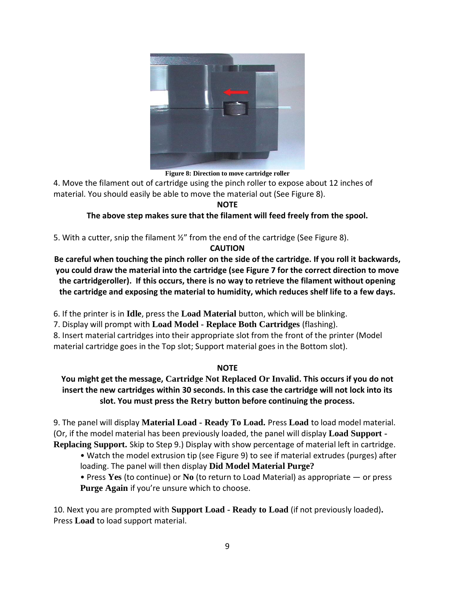

**Figure 8: Direction to move cartridge roller**

4. Move the filament out of cartridge using the pinch roller to expose about 12 inches of material. You should easily be able to move the material out (See Figure 8).

**NOTE**

### **The above step makes sure that the filament will feed freely from the spool.**

5. With a cutter, snip the filament  $\frac{1}{2}$ " from the end of the cartridge (See Figure 8).

### **CAUTION**

**Be careful when touching the pinch roller on the side of the cartridge. If you roll it backwards, you could draw the material into the cartridge (see Figure 7 for the correct direction to move the cartridgeroller). If this occurs, there is no way to retrieve the filament without opening the cartridge and exposing the material to humidity, which reduces shelf life to a few days.**

6. If the printer is in **Idle**, press the **Load Material** button, which will be blinking.

7. Display will prompt with **Load Model - Replace Both Cartridges** (flashing).

8. Insert material cartridges into their appropriate slot from the front of the printer (Model material cartridge goes in the Top slot; Support material goes in the Bottom slot).

### **NOTE**

# **You might get the message, Cartridge Not Replaced Or Invalid. This occurs if you do not insert the new cartridges within 30 seconds. In this case the cartridge will not lock into its slot. You must press the Retry button before continuing the process.**

9. The panel will display **Material Load - Ready To Load.** Press **Load** to load model material. (Or, if the model material has been previously loaded, the panel will display **Load Support - Replacing Support.** Skip to Step 9.) Display with show percentage of material left in cartridge.

• Watch the model extrusion tip (see Figure 9) to see if material extrudes (purges) after loading. The panel will then display **Did Model Material Purge?**

• Press **Yes** (to continue) or **No** (to return to Load Material) as appropriate — or press **Purge Again** if you're unsure which to choose.

10. Next you are prompted with **Support Load - Ready to Load** (if not previously loaded)**.**  Press **Load** to load support material.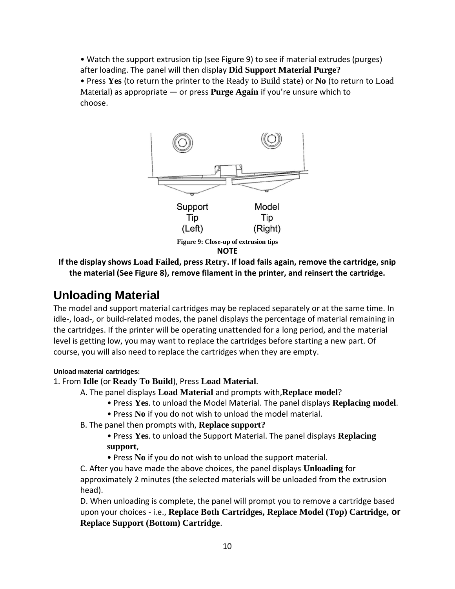• Watch the support extrusion tip (see Figure 9) to see if material extrudes (purges) after loading. The panel will then display **Did Support Material Purge?**

• Press **Yes** (to return the printer to the Ready to Build state) or **No** (to return to Load Material) as appropriate — or press **Purge Again** if you're unsure which to choose.



#### **NOTE**

**If the display shows Load Failed, press Retry. If load fails again, remove the cartridge, snip the material (See Figure 8), remove filament in the printer, and reinsert the cartridge.**

# **Unloading Material**

The model and support material cartridges may be replaced separately or at the same time. In idle-, load-, or build-related modes, the panel displays the percentage of material remaining in the cartridges. If the printer will be operating unattended for a long period, and the material level is getting low, you may want to replace the cartridges before starting a new part. Of course, you will also need to replace the cartridges when they are empty.

### **Unload material cartridges:**

### 1. From **Idle** (or **Ready To Build**), Press **Load Material**.

A. The panel displays **Load Material** and prompts with,**Replace model**?

- Press **Yes**. to unload the Model Material. The panel displays **Replacing model**.
- Press **No** if you do not wish to unload the model material.
- B. The panel then prompts with, **Replace support?**
	- Press **Yes**. to unload the Support Material. The panel displays **Replacing support**,
	- Press **No** if you do not wish to unload the support material.

C. After you have made the above choices, the panel displays **Unloading** for approximately 2 minutes (the selected materials will be unloaded from the extrusion head).

D. When unloading is complete, the panel will prompt you to remove a cartridge based upon your choices - i.e., **Replace Both Cartridges, Replace Model (Top) Cartridge, or Replace Support (Bottom) Cartridge**.